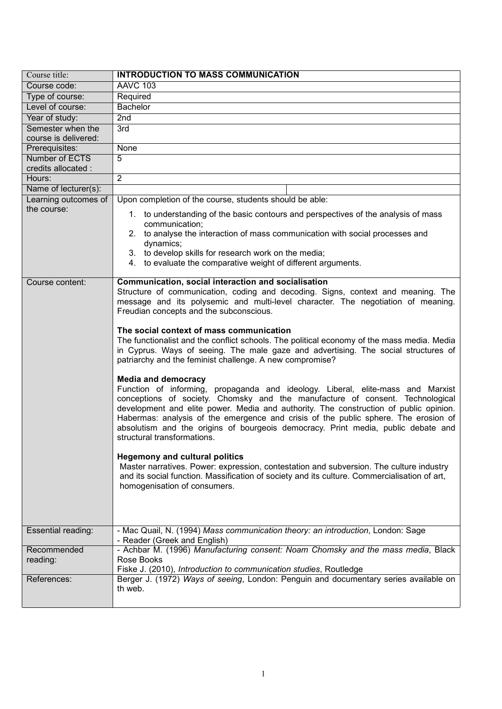| Course title:                             | <b>INTRODUCTION TO MASS COMMUNICATION</b>                                                                                                                                                                                                                                                                                                                                                                                                                                                          |
|-------------------------------------------|----------------------------------------------------------------------------------------------------------------------------------------------------------------------------------------------------------------------------------------------------------------------------------------------------------------------------------------------------------------------------------------------------------------------------------------------------------------------------------------------------|
| Course code:                              | <b>AAVC 103</b>                                                                                                                                                                                                                                                                                                                                                                                                                                                                                    |
| Type of course:                           | Required                                                                                                                                                                                                                                                                                                                                                                                                                                                                                           |
| Level of course:                          | <b>Bachelor</b>                                                                                                                                                                                                                                                                                                                                                                                                                                                                                    |
| Year of study:                            | 2nd                                                                                                                                                                                                                                                                                                                                                                                                                                                                                                |
| Semester when the<br>course is delivered: | 3rd                                                                                                                                                                                                                                                                                                                                                                                                                                                                                                |
| Prerequisites:                            | None                                                                                                                                                                                                                                                                                                                                                                                                                                                                                               |
| Number of ECTS                            | $\overline{5}$                                                                                                                                                                                                                                                                                                                                                                                                                                                                                     |
| credits allocated :                       |                                                                                                                                                                                                                                                                                                                                                                                                                                                                                                    |
| Hours:                                    | $\overline{2}$                                                                                                                                                                                                                                                                                                                                                                                                                                                                                     |
| Name of lecturer(s):                      |                                                                                                                                                                                                                                                                                                                                                                                                                                                                                                    |
| Learning outcomes of                      | Upon completion of the course, students should be able:                                                                                                                                                                                                                                                                                                                                                                                                                                            |
| the course:                               | 1. to understanding of the basic contours and perspectives of the analysis of mass<br>communication;                                                                                                                                                                                                                                                                                                                                                                                               |
|                                           | 2. to analyse the interaction of mass communication with social processes and<br>dynamics;                                                                                                                                                                                                                                                                                                                                                                                                         |
|                                           | 3. to develop skills for research work on the media;<br>4. to evaluate the comparative weight of different arguments.                                                                                                                                                                                                                                                                                                                                                                              |
| Course content:                           | Communication, social interaction and socialisation<br>Structure of communication, coding and decoding. Signs, context and meaning. The<br>message and its polysemic and multi-level character. The negotiation of meaning.<br>Freudian concepts and the subconscious.                                                                                                                                                                                                                             |
|                                           | The social context of mass communication<br>The functionalist and the conflict schools. The political economy of the mass media. Media<br>in Cyprus. Ways of seeing. The male gaze and advertising. The social structures of<br>patriarchy and the feminist challenge. A new compromise?                                                                                                                                                                                                           |
|                                           | <b>Media and democracy</b><br>Function of informing, propaganda and ideology. Liberal, elite-mass and Marxist<br>conceptions of society. Chomsky and the manufacture of consent. Technological<br>development and elite power. Media and authority. The construction of public opinion.<br>Habermas: analysis of the emergence and crisis of the public sphere. The erosion of<br>absolutism and the origins of bourgeois democracy. Print media, public debate and<br>structural transformations. |
|                                           | <b>Hegemony and cultural politics</b><br>Master narratives. Power: expression, contestation and subversion. The culture industry<br>and its social function. Massification of society and its culture. Commercialisation of art,<br>homogenisation of consumers.                                                                                                                                                                                                                                   |
| Essential reading:                        | - Mac Quail, N. (1994) Mass communication theory: an introduction, London: Sage<br>- Reader (Greek and English)                                                                                                                                                                                                                                                                                                                                                                                    |
| Recommended<br>reading:                   | - Achbar M. (1996) Manufacturing consent: Noam Chomsky and the mass media, Black<br>Rose Books                                                                                                                                                                                                                                                                                                                                                                                                     |
| References:                               | Fiske J. (2010), Introduction to communication studies, Routledge<br>Berger J. (1972) Ways of seeing, London: Penguin and documentary series available on<br>th web.                                                                                                                                                                                                                                                                                                                               |
|                                           |                                                                                                                                                                                                                                                                                                                                                                                                                                                                                                    |